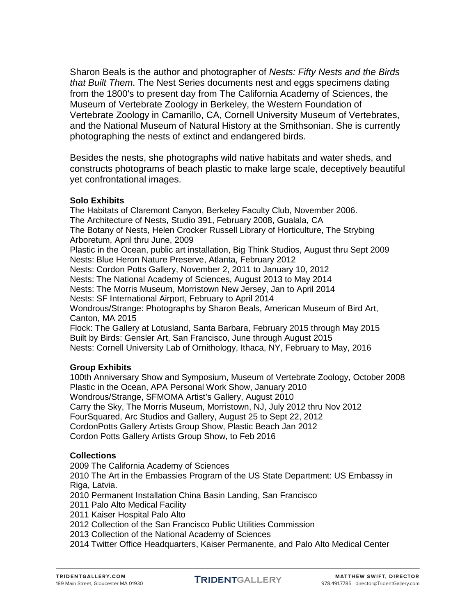Sharon Beals is the author and photographer of *Nests: Fifty Nests and the Birds that Built Them*. The Nest Series documents nest and eggs specimens dating from the 1800's to present day from The California Academy of Sciences, the Museum of Vertebrate Zoology in Berkeley, the Western Foundation of Vertebrate Zoology in Camarillo, CA, Cornell University Museum of Vertebrates, and the National Museum of Natural History at the Smithsonian. She is currently photographing the nests of extinct and endangered birds.

Besides the nests, she photographs wild native habitats and water sheds, and constructs photograms of beach plastic to make large scale, deceptively beautiful yet confrontational images.

## **Solo Exhibits**

The Habitats of Claremont Canyon, Berkeley Faculty Club, November 2006. The Architecture of Nests, Studio 391, February 2008, Gualala, CA The Botany of Nests, Helen Crocker Russell Library of Horticulture, The Strybing Arboretum, April thru June, 2009 Plastic in the Ocean, public art installation, Big Think Studios, August thru Sept 2009 Nests: Blue Heron Nature Preserve, Atlanta, February 2012 Nests: Cordon Potts Gallery, November 2, 2011 to January 10, 2012 Nests: The National Academy of Sciences, August 2013 to May 2014 Nests: The Morris Museum, Morristown New Jersey, Jan to April 2014 Nests: SF International Airport, February to April 2014 Wondrous/Strange: Photographs by Sharon Beals, American Museum of Bird Art, Canton, MA 2015 Flock: The Gallery at Lotusland, Santa Barbara, February 2015 through May 2015 Built by Birds: Gensler Art, San Francisco, June through August 2015 Nests: Cornell University Lab of Ornithology, Ithaca, NY, February to May, 2016

# **Group Exhibits**

100th Anniversary Show and Symposium, Museum of Vertebrate Zoology, October 2008 Plastic in the Ocean, APA Personal Work Show, January 2010 Wondrous/Strange, SFMOMA Artist's Gallery, August 2010 Carry the Sky, The Morris Museum, Morristown, NJ, July 2012 thru Nov 2012 FourSquared, Arc Studios and Gallery, August 25 to Sept 22, 2012 CordonPotts Gallery Artists Group Show, Plastic Beach Jan 2012 Cordon Potts Gallery Artists Group Show, to Feb 2016

# **Collections**

2009 The California Academy of Sciences

2010 The Art in the Embassies Program of the US State Department: US Embassy in Riga, Latvia.

2010 Permanent Installation China Basin Landing, San Francisco

2011 Palo Alto Medical Facility

2011 Kaiser Hospital Palo Alto

2012 Collection of the San Francisco Public Utilities Commission

2013 Collection of the National Academy of Sciences

2014 Twitter Office Headquarters, Kaiser Permanente, and Palo Alto Medical Center